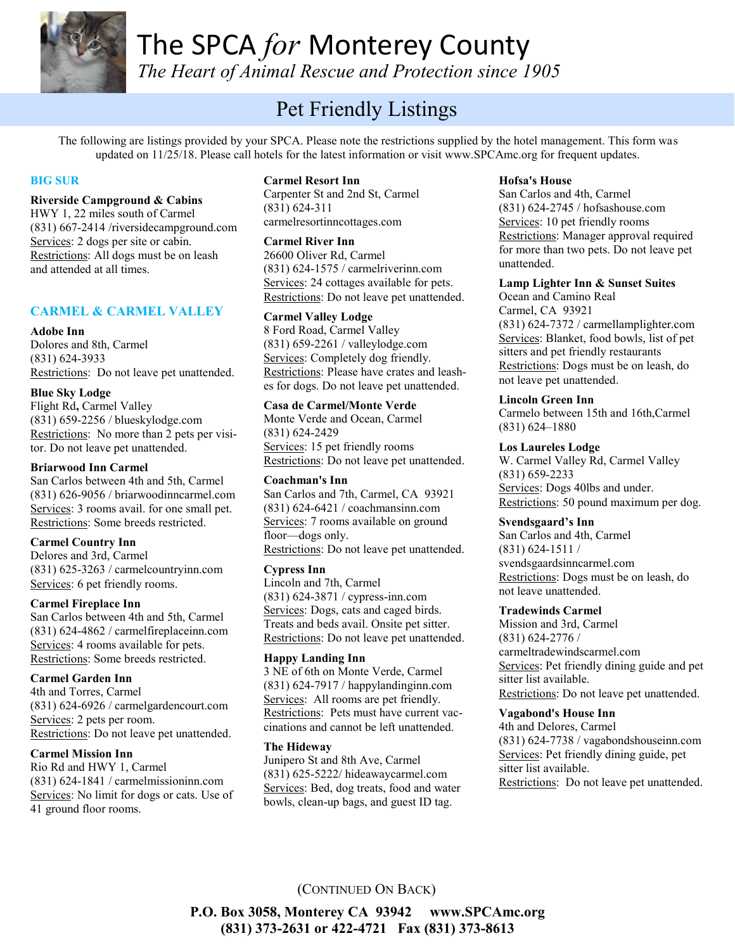

*The Heart of Animal Rescue and Protection since 1905*

# Pet Friendly Listings

The following are listings provided by your SPCA. Please note the restrictions supplied by the hotel management. This form was updated on 11/25/18. Please call hotels for the latest information or visit www.SPCAmc.org for frequent updates.

#### **BIG SUR**

#### **Riverside Campground & Cabins**

HWY 1, 22 miles south of Carmel (831) 667-2414 /riversidecampground.com Services: 2 dogs per site or cabin. Restrictions: All dogs must be on leash and attended at all times.

#### **CARMEL & CARMEL VALLEY**

#### **Adobe Inn**

Dolores and 8th, Carmel (831) 624-3933 Restrictions: Do not leave pet unattended.

#### **Blue Sky Lodge**

Flight Rd**,** Carmel Valley (831) 659-2256 / blueskylodge.com Restrictions: No more than 2 pets per visitor. Do not leave pet unattended.

#### **Briarwood Inn Carmel**

San Carlos between 4th and 5th, Carmel (831) 626-9056 / briarwoodinncarmel.com Services: 3 rooms avail. for one small pet. Restrictions: Some breeds restricted.

#### **Carmel Country Inn**

Delores and 3rd, Carmel (831) 625-3263 / carmelcountryinn.com Services: 6 pet friendly rooms.

#### **Carmel Fireplace Inn**

San Carlos between 4th and 5th, Carmel (831) 624-4862 / carmelfireplaceinn.com Services: 4 rooms available for pets. Restrictions: Some breeds restricted.

#### **Carmel Garden Inn**

4th and Torres, Carmel (831) 624-6926 / carmelgardencourt.com Services: 2 pets per room. Restrictions: Do not leave pet unattended.

#### **Carmel Mission Inn**

Rio Rd and HWY 1, Carmel (831) 624-1841 / carmelmissioninn.com Services: No limit for dogs or cats. Use of 41 ground floor rooms.

#### **Carmel Resort Inn**

Carpenter St and 2nd St, Carmel (831) 624-311 carmelresortinncottages.com

**Carmel River Inn**

26600 Oliver Rd, Carmel (831) 624-1575 / carmelriverinn.com Services: 24 cottages available for pets. Restrictions: Do not leave pet unattended.

#### **Carmel Valley Lodge**

8 Ford Road, Carmel Valley (831) 659-2261 / valleylodge.com Services: Completely dog friendly. Restrictions: Please have crates and leashes for dogs. Do not leave pet unattended.

#### **Casa de Carmel/Monte Verde**

Monte Verde and Ocean, Carmel (831) 624-2429 Services: 15 pet friendly rooms Restrictions: Do not leave pet unattended.

#### **Coachman's Inn**

San Carlos and 7th, Carmel, CA 93921 (831) 624-6421 / coachmansinn.com Services: 7 rooms available on ground floor—dogs only.

Restrictions: Do not leave pet unattended.

#### **Cypress Inn**

Lincoln and 7th, Carmel (831) 624-3871 / cypress-inn.com Services: Dogs, cats and caged birds. Treats and beds avail. Onsite pet sitter. Restrictions: Do not leave pet unattended.

#### **Happy Landing Inn**

3 NE of 6th on Monte Verde, Carmel (831) 624-7917 / happylandinginn.com Services: All rooms are pet friendly. Restrictions: Pets must have current vaccinations and cannot be left unattended.

#### **The Hideway**

Junipero St and 8th Ave, Carmel (831) 625-5222/ hideawaycarmel.com Services: Bed, dog treats, food and water bowls, clean-up bags, and guest ID tag.

#### **Hofsa's House**

San Carlos and 4th, Carmel (831) 624-2745 / hofsashouse.com Services: 10 pet friendly rooms Restrictions: Manager approval required for more than two pets. Do not leave pet unattended.

#### **Lamp Lighter Inn & Sunset Suites**

Ocean and Camino Real Carmel, CA 93921 (831) 624-7372 / carmellamplighter.com Services: Blanket, food bowls, list of pet sitters and pet friendly restaurants Restrictions: Dogs must be on leash, do not leave pet unattended.

#### **Lincoln Green Inn**

Carmelo between 15th and 16th,Carmel (831) 624–1880

#### **Los Laureles Lodge**

W. Carmel Valley Rd, Carmel Valley (831) 659-2233 Services: Dogs 40lbs and under. Restrictions: 50 pound maximum per dog.

#### **Svendsgaard's Inn**

San Carlos and 4th, Carmel (831) 624-1511 / svendsgaardsinncarmel.com Restrictions: Dogs must be on leash, do not leave unattended.

#### **Tradewinds Carmel**

Mission and 3rd, Carmel (831) 624-2776 / carmeltradewindscarmel.com Services: Pet friendly dining guide and pet sitter list available. Restrictions: Do not leave pet unattended.

#### **Vagabond's House Inn**

4th and Delores, Carmel (831) 624-7738 / vagabondshouseinn.com Services: Pet friendly dining guide, pet sitter list available. Restrictions: Do not leave pet unattended.

## (CONTINUED ON BACK)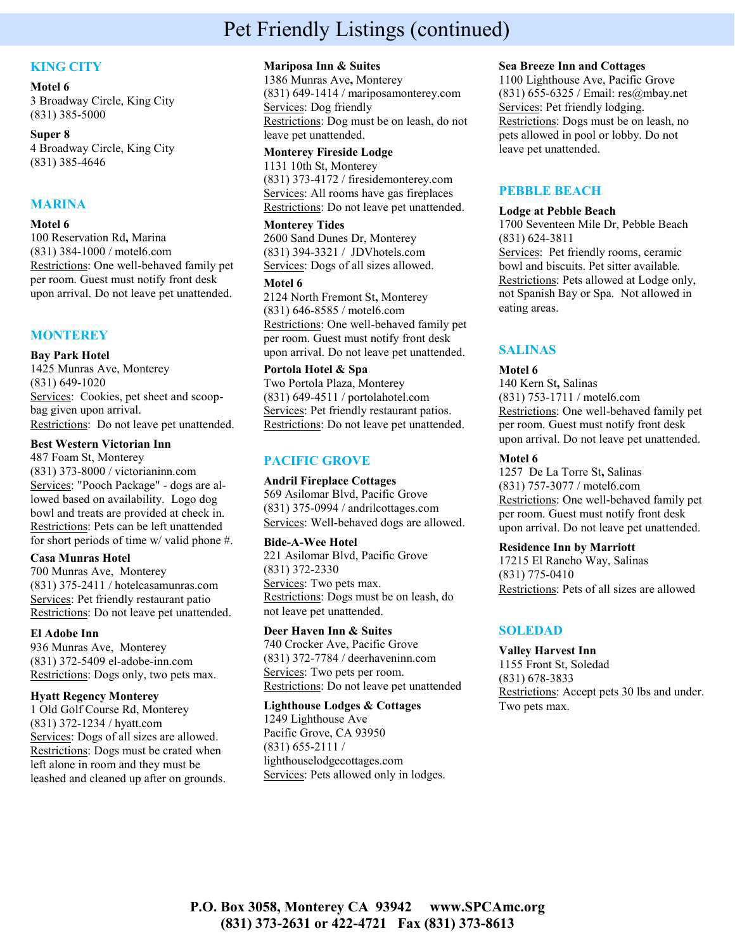# Pet Friendly Listings (continued)

## **KING CITY**

#### **Motel 6**

3 Broadway Circle, King City (831) 385-5000

**Super 8**

4 Broadway Circle, King City (831) 385-4646

#### **MARINA**

#### **Motel 6**

100 Reservation Rd**,** Marina (831) 384-1000 / motel6.com Restrictions: One well-behaved family pet per room. Guest must notify front desk upon arrival. Do not leave pet unattended.

#### **MONTEREY**

#### **Bay Park Hotel**

1425 Munras Ave, Monterey (831) 649-1020 Services: Cookies, pet sheet and scoopbag given upon arrival. Restrictions: Do not leave pet unattended.

#### **Best Western Victorian Inn**

487 Foam St, Monterey (831) 373-8000 / victorianinn.com Services: "Pooch Package" - dogs are allowed based on availability. Logo dog bowl and treats are provided at check in. Restrictions: Pets can be left unattended for short periods of time w/ valid phone #.

#### **Casa Munras Hotel**

700 Munras Ave, Monterey (831) 375-2411 / hotelcasamunras.com Services: Pet friendly restaurant patio Restrictions: Do not leave pet unattended.

#### **El Adobe Inn**

936 Munras Ave, Monterey (831) 372-5409 el-adobe-inn.com Restrictions: Dogs only, two pets max.

#### **Hyatt Regency Monterey**

1 Old Golf Course Rd, Monterey (831) 372-1234 / hyatt.com Services: Dogs of all sizes are allowed. Restrictions: Dogs must be crated when left alone in room and they must be leashed and cleaned up after on grounds.

#### **Mariposa Inn & Suites**

1386 Munras Ave**,** Monterey (831) 649-1414 / mariposamonterey.com Services: Dog friendly Restrictions: Dog must be on leash, do not leave pet unattended.

#### **Monterey Fireside Lodge**

1131 10th St, Monterey (831) 373-4172 / firesidemonterey.com Services: All rooms have gas fireplaces Restrictions: Do not leave pet unattended.

#### **Monterey Tides**

2600 Sand Dunes Dr, Monterey (831) 394-3321 / JDVhotels.com Services: Dogs of all sizes allowed.

#### **Motel 6**

2124 North Fremont St**,** Monterey (831) 646-8585 / motel6.com Restrictions: One well-behaved family pet per room. Guest must notify front desk upon arrival. Do not leave pet unattended.

#### **Portola Hotel & Spa**

Two Portola Plaza, Monterey (831) 649-4511 / portolahotel.com Services: Pet friendly restaurant patios. Restrictions: Do not leave pet unattended.

## **PACIFIC GROVE**

#### **Andril Fireplace Cottages**

569 Asilomar Blvd, Pacific Grove (831) 375-0994 / andrilcottages.com Services: Well-behaved dogs are allowed.

#### **Bide-A-Wee Hotel**

221 Asilomar Blvd, Pacific Grove (831) 372-2330 Services: Two pets max. Restrictions: Dogs must be on leash, do not leave pet unattended.

#### **Deer Haven Inn & Suites**

740 Crocker Ave, Pacific Grove (831) 372-7784 / deerhaveninn.com Services: Two pets per room. Restrictions: Do not leave pet unattended

#### **Lighthouse Lodges & Cottages**

1249 Lighthouse Ave Pacific Grove, CA 93950 (831) 655-2111 / lighthouselodgecottages.com Services: Pets allowed only in lodges.

#### **Sea Breeze Inn and Cottages**

1100 Lighthouse Ave, Pacific Grove (831) 655-6325 / Email: res@mbay.net Services: Pet friendly lodging. Restrictions: Dogs must be on leash, no pets allowed in pool or lobby. Do not leave pet unattended.

## **PEBBLE BEACH**

#### **Lodge at Pebble Beach**

1700 Seventeen Mile Dr, Pebble Beach (831) 624-3811 Services: Pet friendly rooms, ceramic bowl and biscuits. Pet sitter available. Restrictions: Pets allowed at Lodge only, not Spanish Bay or Spa. Not allowed in

## **SALINAS**

eating areas.

#### **Motel 6**

140 Kern St**,** Salinas (831) 753-1711 / motel6.com Restrictions: One well-behaved family pet per room. Guest must notify front desk upon arrival. Do not leave pet unattended.

#### **Motel 6**

1257 De La Torre St**,** Salinas (831) 757-3077 / motel6.com Restrictions: One well-behaved family pet per room. Guest must notify front desk upon arrival. Do not leave pet unattended.

#### **Residence Inn by Marriott**

17215 El Rancho Way, Salinas (831) 775-0410 Restrictions: Pets of all sizes are allowed

## **SOLEDAD**

**Valley Harvest Inn** 1155 Front St, Soledad (831) 678-3833 Restrictions: Accept pets 30 lbs and under. Two pets max.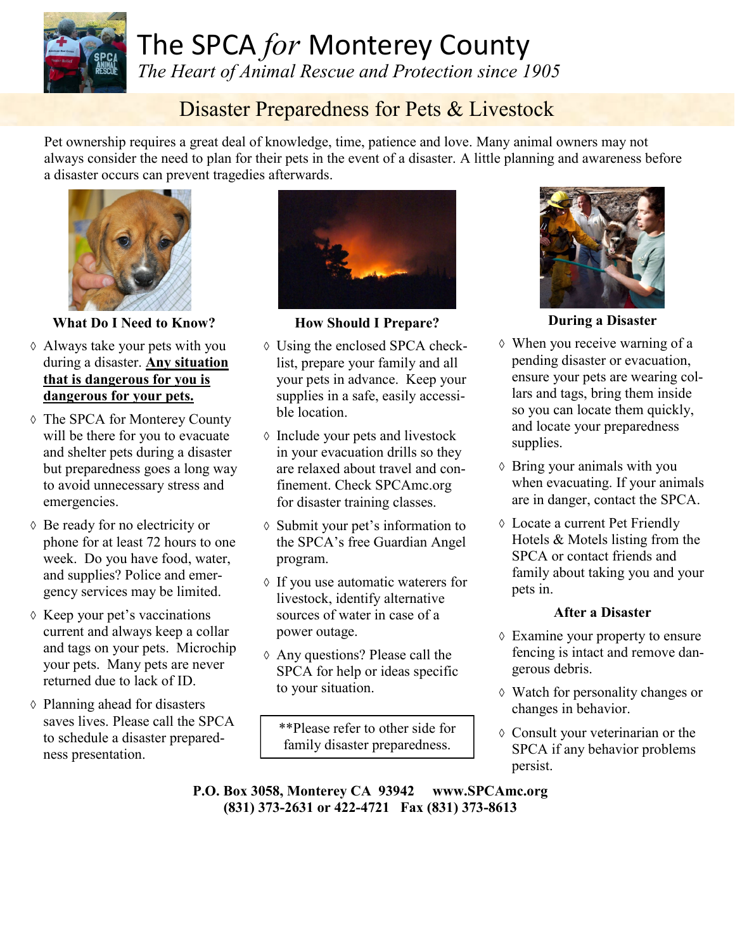

*The Heart of Animal Rescue and Protection since 1905*

# Disaster Preparedness for Pets & Livestock

Pet ownership requires a great deal of knowledge, time, patience and love. Many animal owners may not always consider the need to plan for their pets in the event of a disaster. A little planning and awareness before a disaster occurs can prevent tragedies afterwards.



**What Do I Need to Know?**

- Always take your pets with you during a disaster. **Any situation that is dangerous for you is dangerous for your pets.**
- The SPCA for Monterey County will be there for you to evacuate and shelter pets during a disaster but preparedness goes a long way to avoid unnecessary stress and emergencies.
- Be ready for no electricity or phone for at least 72 hours to one week. Do you have food, water, and supplies? Police and emergency services may be limited.
- $\Diamond$  Keep your pet's vaccinations current and always keep a collar and tags on your pets. Microchip your pets. Many pets are never returned due to lack of ID.
- $\diamond$  Planning ahead for disasters saves lives. Please call the SPCA to schedule a disaster preparedness presentation.



**How Should I Prepare?**

- Using the enclosed SPCA checklist, prepare your family and all your pets in advance. Keep your supplies in a safe, easily accessible location.
- $\Diamond$  Include your pets and livestock in your evacuation drills so they are relaxed about travel and confinement. Check SPCAmc.org for disaster training classes.
- Submit your pet's information to the SPCA's free Guardian Angel program.
- If you use automatic waterers for livestock, identify alternative sources of water in case of a power outage.
- Any questions? Please call the SPCA for help or ideas specific to your situation.

\*\*Please refer to other side for family disaster preparedness.



**During a Disaster**

- When you receive warning of a pending disaster or evacuation, ensure your pets are wearing collars and tags, bring them inside so you can locate them quickly, and locate your preparedness supplies.
- Bring your animals with you when evacuating. If your animals are in danger, contact the SPCA.
- Locate a current Pet Friendly Hotels & Motels listing from the SPCA or contact friends and family about taking you and your pets in.

# **After a Disaster**

- Examine your property to ensure fencing is intact and remove dangerous debris.
- Watch for personality changes or changes in behavior.
- Consult your veterinarian or the SPCA if any behavior problems persist.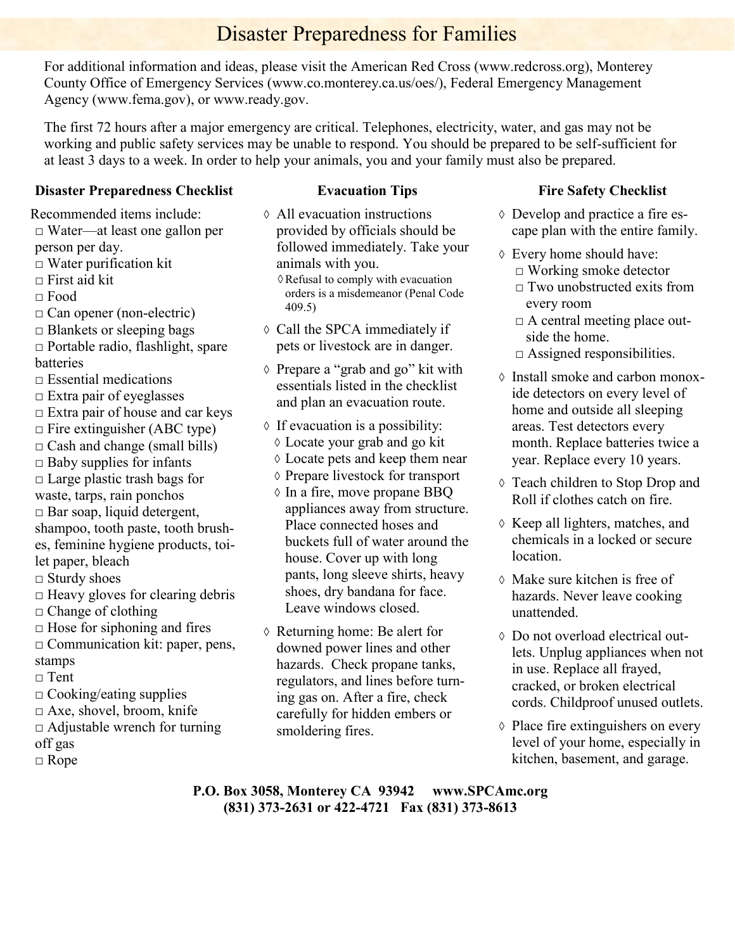# Disaster Preparedness for Families

For additional information and ideas, please visit the American Red Cross (www.redcross.org), Monterey County Office of Emergency Services (www.co.monterey.ca.us/oes/), Federal Emergency Management Agency (www.fema.gov), or www.ready.gov.

The first 72 hours after a major emergency are critical. Telephones, electricity, water, and gas may not be working and public safety services may be unable to respond. You should be prepared to be self-sufficient for at least 3 days to a week. In order to help your animals, you and your family must also be prepared.

## **Disaster Preparedness Checklist**

Recommended items include:

- □ Water—at least one gallon per person per day.
- $\Box$  Water purification kit
- $\Box$  First aid kit
- □ Food
- □ Can opener (non-electric)
- □ Blankets or sleeping bags
- □ Portable radio, flashlight, spare batteries
- $\Box$  Essential medications
- $\Box$  Extra pair of eyeglasses
- $\Box$  Extra pair of house and car keys
- $\Box$  Fire extinguisher (ABC type)
- $\Box$  Cash and change (small bills)
- $\Box$  Baby supplies for infants
- $\Box$  Large plastic trash bags for
- waste, tarps, rain ponchos
- $\Box$  Bar soap, liquid detergent,

shampoo, tooth paste, tooth brushes, feminine hygiene products, toilet paper, bleach

- □ Sturdy shoes
- $\Box$  Heavy gloves for clearing debris
- $\Box$  Change of clothing
- $\Box$  Hose for siphoning and fires
- $\Box$  Communication kit: paper, pens, stamps
- □ Tent
- $\Box$  Cooking/eating supplies
- □ Axe, shovel, broom, knife
- $\Box$  Adjustable wrench for turning off gas
- □ Rope

# **Evacuation Tips**

- All evacuation instructions provided by officials should be followed immediately. Take your animals with you.
	- $\Diamond$  Refusal to comply with evacuation orders is a misdemeanor (Penal Code 409.5)
- Call the SPCA immediately if pets or livestock are in danger.
- Prepare a "grab and go" kit with essentials listed in the checklist and plan an evacuation route.
- $\Diamond$  If evacuation is a possibility:
	- Locate your grab and go kit
	- Locate pets and keep them near
	- Prepare livestock for transport
	- $\Diamond$  In a fire, move propane BBQ appliances away from structure. Place connected hoses and buckets full of water around the house. Cover up with long pants, long sleeve shirts, heavy shoes, dry bandana for face. Leave windows closed.
- Returning home: Be alert for downed power lines and other hazards. Check propane tanks, regulators, and lines before turning gas on. After a fire, check carefully for hidden embers or smoldering fires.

## **Fire Safety Checklist**

- Develop and practice a fire escape plan with the entire family.
- Every home should have: □ Working smoke detector
	- $\Box$  Two unobstructed exits from every room
	- $\Box$  A central meeting place outside the home.
	- $\square$  Assigned responsibilities.
- Install smoke and carbon monoxide detectors on every level of home and outside all sleeping areas. Test detectors every month. Replace batteries twice a year. Replace every 10 years.
- Teach children to Stop Drop and Roll if clothes catch on fire.
- $\Diamond$  Keep all lighters, matches, and chemicals in a locked or secure location.
- Make sure kitchen is free of hazards. Never leave cooking unattended.
- Do not overload electrical outlets. Unplug appliances when not in use. Replace all frayed, cracked, or broken electrical cords. Childproof unused outlets.
- $\diamond$  Place fire extinguishers on every level of your home, especially in kitchen, basement, and garage.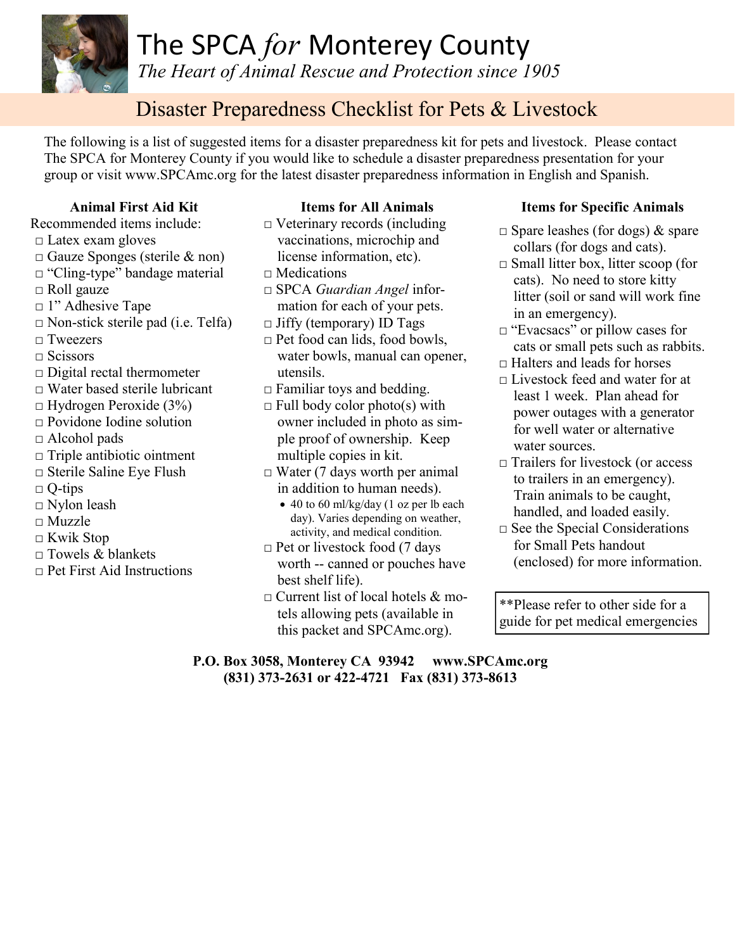

*The Heart of Animal Rescue and Protection since 1905*

# Disaster Preparedness Checklist for Pets & Livestock

The following is a list of suggested items for a disaster preparedness kit for pets and livestock. Please contact The SPCA for Monterey County if you would like to schedule a disaster preparedness presentation for your group or visit www.SPCAmc.org for the latest disaster preparedness information in English and Spanish.

# **Animal First Aid Kit**

- Recommended items include:
- □ Latex exam gloves
- □ Gauze Sponges (sterile & non)
- □ "Cling-type" bandage material
- □ Roll gauze
- □ 1" Adhesive Tape
- $\Box$  Non-stick sterile pad (i.e. Telfa)
- □ Tweezers
- □ Scissors
- $\Box$  Digital rectal thermometer
- □ Water based sterile lubricant
- $\Box$  Hydrogen Peroxide (3%)
- □ Povidone Iodine solution
- □ Alcohol pads
- □ Triple antibiotic ointment
- □ Sterile Saline Eye Flush
- $\Box$  Q-tips
- □ Nylon leash
- □ Muzzle
- □ Kwik Stop
- $\Box$  Towels & blankets
- $\Box$  Pet First Aid Instructions

# **Items for All Animals**

- $\Box$  Veterinary records (including vaccinations, microchip and license information, etc).
- $\Box$  Medications
- □ SPCA *Guardian Angel* information for each of your pets.
- $\Box$  Jiffy (temporary) ID Tags
- $\Box$  Pet food can lids, food bowls, water bowls, manual can opener, utensils.
- $\Box$  Familiar toys and bedding.
- $\Box$  Full body color photo(s) with owner included in photo as simple proof of ownership. Keep multiple copies in kit.
- $\Box$  Water (7 days worth per animal in addition to human needs).
	- 40 to 60 ml/kg/day (1 oz per lb each day). Varies depending on weather, activity, and medical condition.
- $\Box$  Pet or livestock food (7 days worth -- canned or pouches have best shelf life).
- $\Box$  Current list of local hotels & motels allowing pets (available in this packet and SPCAmc.org).

## **Items for Specific Animals**

- $\Box$  Spare leashes (for dogs) & spare collars (for dogs and cats).
- □ Small litter box, litter scoop (for cats). No need to store kitty litter (soil or sand will work fine in an emergency).
- □ "Evacsacs" or pillow cases for cats or small pets such as rabbits.
- □ Halters and leads for horses
- □ Livestock feed and water for at least 1 week. Plan ahead for power outages with a generator for well water or alternative water sources.
- □ Trailers for livestock (or access to trailers in an emergency). Train animals to be caught, handled, and loaded easily.
- □ See the Special Considerations for Small Pets handout (enclosed) for more information.

\*\*Please refer to other side for a guide for pet medical emergencies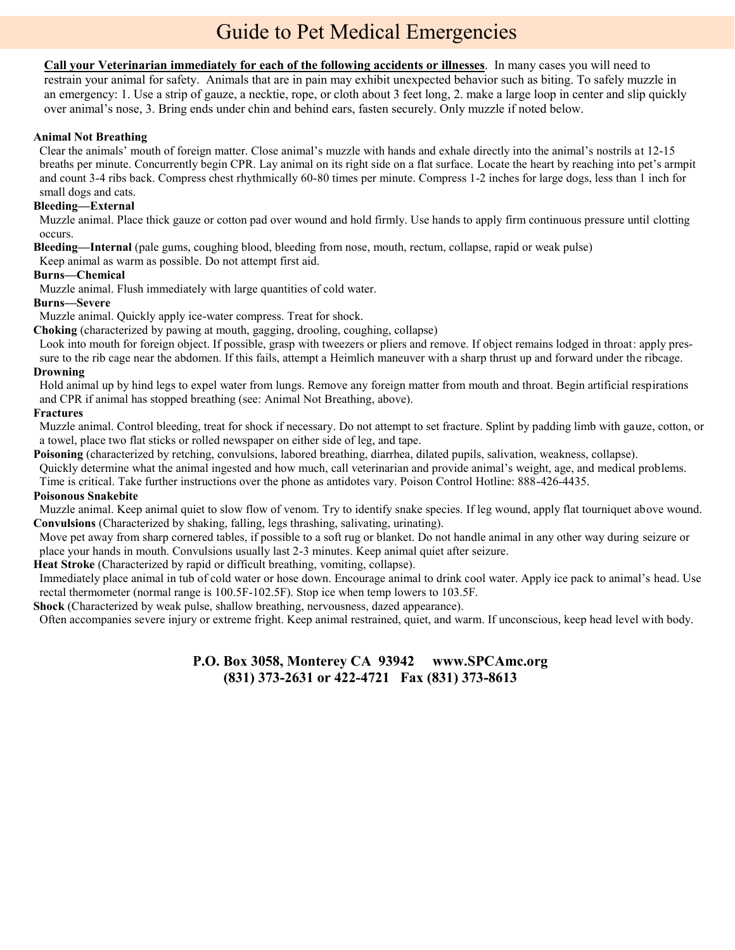# Guide to Pet Medical Emergencies

**Call your Veterinarian immediately for each of the following accidents or illnesses**. In many cases you will need to restrain your animal for safety. Animals that are in pain may exhibit unexpected behavior such as biting. To safely muzzle in an emergency: 1. Use a strip of gauze, a necktie, rope, or cloth about 3 feet long, 2. make a large loop in center and slip quickly over animal's nose, 3. Bring ends under chin and behind ears, fasten securely. Only muzzle if noted below.

#### **Animal Not Breathing**

Clear the animals' mouth of foreign matter. Close animal's muzzle with hands and exhale directly into the animal's nostrils at 12-15 breaths per minute. Concurrently begin CPR. Lay animal on its right side on a flat surface. Locate the heart by reaching into pet's armpit and count 3-4 ribs back. Compress chest rhythmically 60-80 times per minute. Compress 1-2 inches for large dogs, less than 1 inch for small dogs and cats.

#### **Bleeding—External**

Muzzle animal. Place thick gauze or cotton pad over wound and hold firmly. Use hands to apply firm continuous pressure until clotting occurs.

**Bleeding—Internal** (pale gums, coughing blood, bleeding from nose, mouth, rectum, collapse, rapid or weak pulse)

Keep animal as warm as possible. Do not attempt first aid.

#### **Burns—Chemical**

Muzzle animal. Flush immediately with large quantities of cold water.

#### **Burns—Severe**

Muzzle animal. Quickly apply ice-water compress. Treat for shock.

**Choking** (characterized by pawing at mouth, gagging, drooling, coughing, collapse)

Look into mouth for foreign object. If possible, grasp with tweezers or pliers and remove. If object remains lodged in throat: apply pressure to the rib cage near the abdomen. If this fails, attempt a Heimlich maneuver with a sharp thrust up and forward under the ribcage. **Drowning**

#### Hold animal up by hind legs to expel water from lungs. Remove any foreign matter from mouth and throat. Begin artificial respirations and CPR if animal has stopped breathing (see: Animal Not Breathing, above).

#### **Fractures**

Muzzle animal. Control bleeding, treat for shock if necessary. Do not attempt to set fracture. Splint by padding limb with gauze, cotton, or a towel, place two flat sticks or rolled newspaper on either side of leg, and tape.

**Poisoning** (characterized by retching, convulsions, labored breathing, diarrhea, dilated pupils, salivation, weakness, collapse).

Quickly determine what the animal ingested and how much, call veterinarian and provide animal's weight, age, and medical problems.

Time is critical. Take further instructions over the phone as antidotes vary. Poison Control Hotline: 888-426-4435.

#### **Poisonous Snakebite**

Muzzle animal. Keep animal quiet to slow flow of venom. Try to identify snake species. If leg wound, apply flat tourniquet above wound. **Convulsions** (Characterized by shaking, falling, legs thrashing, salivating, urinating).

Move pet away from sharp cornered tables, if possible to a soft rug or blanket. Do not handle animal in any other way during seizure or place your hands in mouth. Convulsions usually last 2-3 minutes. Keep animal quiet after seizure.

**Heat Stroke** (Characterized by rapid or difficult breathing, vomiting, collapse).

Immediately place animal in tub of cold water or hose down. Encourage animal to drink cool water. Apply ice pack to animal's head. Use rectal thermometer (normal range is 100.5F-102.5F). Stop ice when temp lowers to 103.5F.

#### **Shock** (Characterized by weak pulse, shallow breathing, nervousness, dazed appearance).

Often accompanies severe injury or extreme fright. Keep animal restrained, quiet, and warm. If unconscious, keep head level with body.